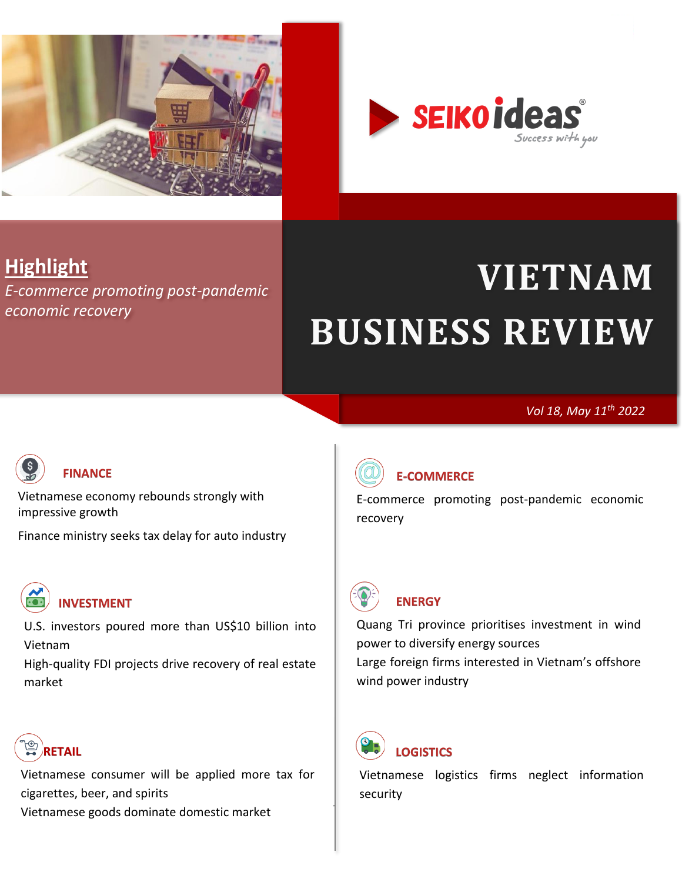

<span id="page-0-0"></span>

## **Highlight**

*[E-commerce promoting post-pandemic](#page-4-1)  [economic recovery](#page-4-1)*

# **VIETNAM BUSINESS REVIEW**

#### *Vol 18, May 11th 2022*



#### **[FINANCE](#page-1-0)**

[Vietnamese economy rebounds strongly with](#page-1-1)  [impressive growth](#page-1-1)

[Finance ministry seeks tax delay for auto industry](#page-3-0)



[U.S. investors poured more than US\\$10 billion](#page-12-1) into [Vietnam](#page-12-1)

[High-quality FDI projects drive recovery of real estate](#page-13-0)  [market](#page-13-0)



[Vietnamese consumer will be applied more tax for](#page-7-1)  [cigarettes, beer, and spirits](#page-7-1) [Vietnamese goods dominate domestic market](#page-9-0)



#### **[E-COMMERCE](#page-4-0)**

[E-commerce promoting post-pandemic economic](#page-4-1)  [recovery](#page-4-1)



#### **[ENERGY](#page-5-0)**

[Quang Tri province prioritises investment in wind](#page-5-1)  [power to diversify energy sources](#page-5-1) [Large foreign firms interested in Vietnam's offshore](#page-6-0)  [wind power industry](#page-6-0)



**[LOGISTICS](#page-10-0)** 

[Vietnamese logistics firms neglect information](#page-10-1)  [security](#page-10-1)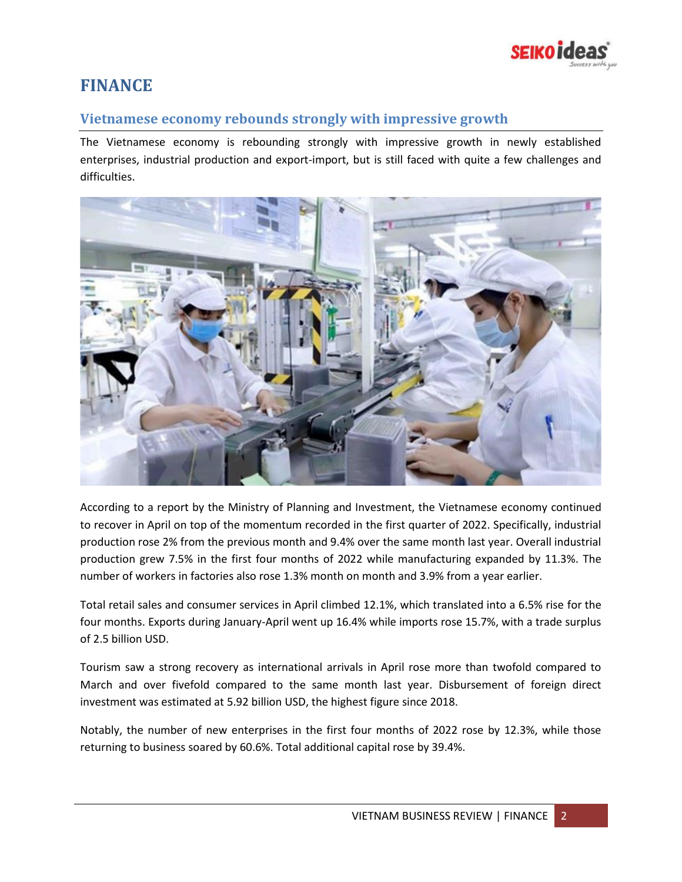

## <span id="page-1-0"></span>**FINANCE**

#### <span id="page-1-1"></span>**Vietnamese economy rebounds strongly with impressive growth**

The Vietnamese economy is rebounding strongly with impressive growth in newly established enterprises, industrial production and export-import, but is still faced with quite a few challenges and difficulties.



According to a report by the Ministry of Planning and Investment, the Vietnamese economy continued to recover in April on top of the momentum recorded in the first quarter of 2022. Specifically, industrial production rose 2% from the previous month and 9.4% over the same month last year. Overall industrial production grew 7.5% in the first four months of 2022 while manufacturing expanded by 11.3%. The number of workers in factories also rose 1.3% month on month and 3.9% from a year earlier.

Total retail sales and consumer services in April climbed 12.1%, which translated into a 6.5% rise for the four months. Exports during January-April went up 16.4% while imports rose 15.7%, with a trade surplus of 2.5 billion USD.

Tourism saw a strong recovery as international arrivals in April rose more than twofold compared to March and over fivefold compared to the same month last year. Disbursement of foreign direct investment was estimated at 5.92 billion USD, the highest figure since 2018.

Notably, the number of new enterprises in the first four months of 2022 rose by 12.3%, while those returning to business soared by 60.6%. Total additional capital rose by 39.4%.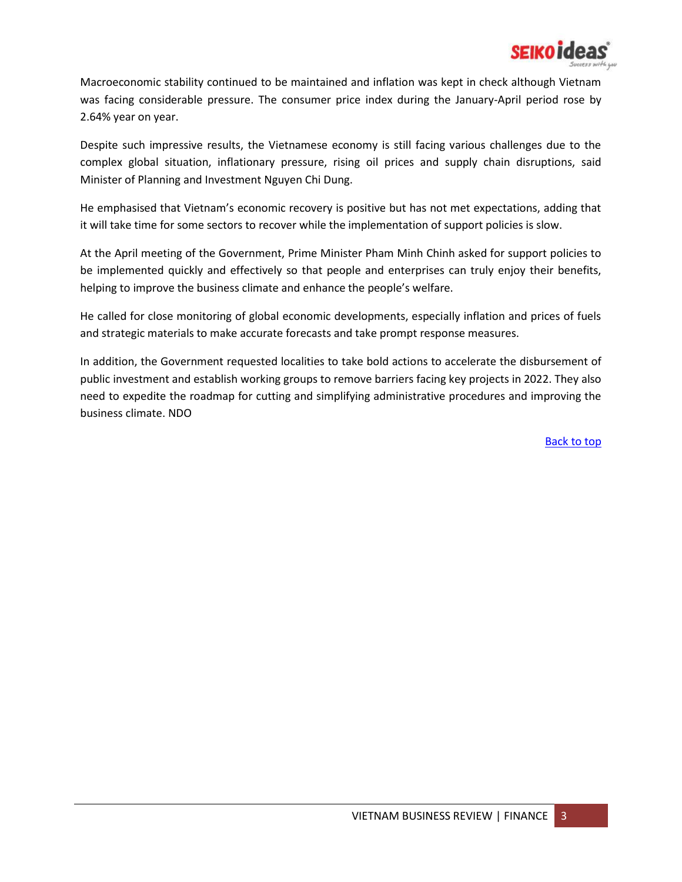

Macroeconomic stability continued to be maintained and inflation was kept in check although Vietnam was facing considerable pressure. The consumer price index during the January-April period rose by 2.64% year on year.

Despite such impressive results, the Vietnamese economy is still facing various challenges due to the complex global situation, inflationary pressure, rising oil prices and supply chain disruptions, said Minister of Planning and Investment Nguyen Chi Dung.

He emphasised that Vietnam's economic recovery is positive but has not met expectations, adding that it will take time for some sectors to recover while the implementation of support policies is slow.

At the April meeting of the Government, Prime Minister Pham Minh Chinh asked for support policies to be implemented quickly and effectively so that people and enterprises can truly enjoy their benefits, helping to improve the business climate and enhance the people's welfare.

He called for close monitoring of global economic developments, especially inflation and prices of fuels and strategic materials to make accurate forecasts and take prompt response measures.

In addition, the Government requested localities to take bold actions to accelerate the disbursement of public investment and establish working groups to remove barriers facing key projects in 2022. They also need to expedite the roadmap for cutting and simplifying administrative procedures and improving the business climate. NDO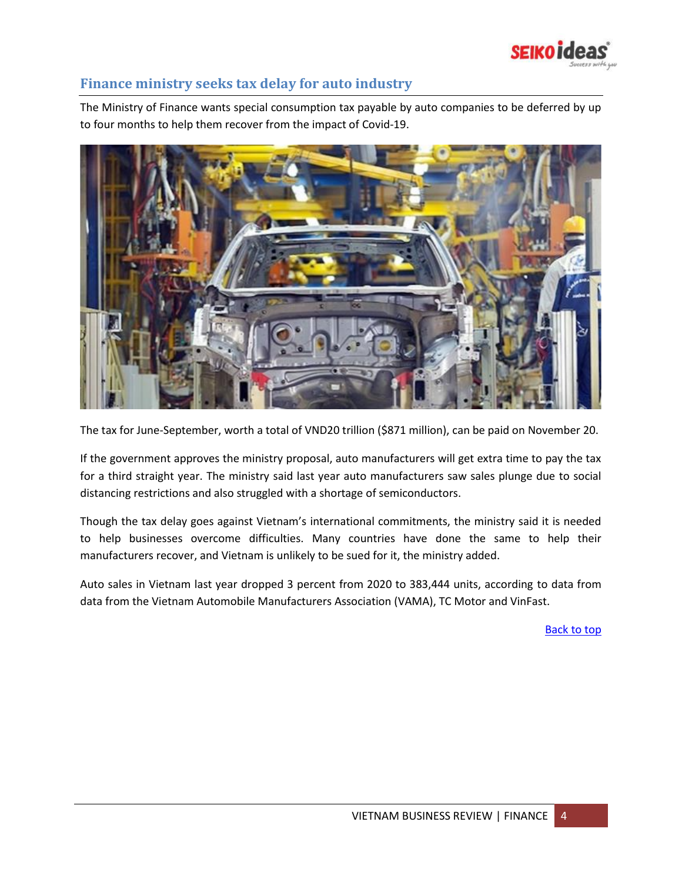

#### <span id="page-3-0"></span>**Finance ministry seeks tax delay for auto industry**

The Ministry of Finance wants special consumption tax payable by auto companies to be deferred by up to four months to help them recover from the impact of Covid-19.



The tax for June-September, worth a total of VND20 trillion (\$871 million), can be paid on November 20.

If the government approves the ministry proposal, auto manufacturers will get extra time to pay the tax for a third straight year. The ministry said last year auto manufacturers saw sales plunge due to social distancing restrictions and also struggled with a shortage of semiconductors.

Though the tax delay goes against Vietnam's international commitments, the ministry said it is needed to help businesses overcome difficulties. Many countries have done the same to help their manufacturers recover, and Vietnam is unlikely to be sued for it, the ministry added.

Auto sales in Vietnam last year dropped 3 percent from 2020 to 383,444 units, according to data from data from the Vietnam Automobile Manufacturers Association (VAMA), TC Motor and VinFast.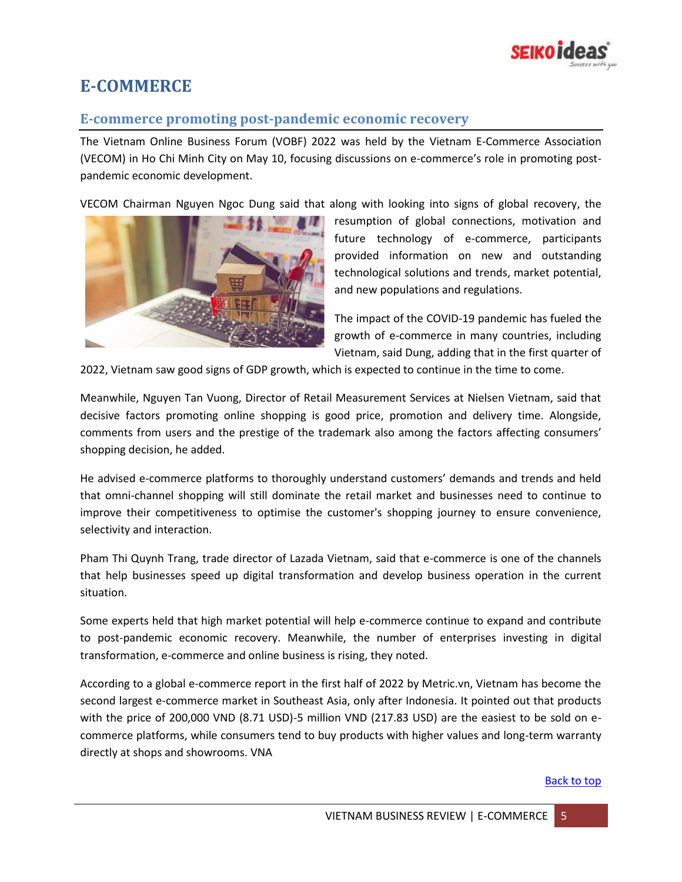

## <span id="page-4-0"></span>**E-COMMERCE**

#### <span id="page-4-1"></span>**E-commerce promoting post-pandemic economic recovery**

The Vietnam Online Business Forum (VOBF) 2022 was held by the Vietnam E-Commerce Association (VECOM) in Ho Chi Minh City on May 10, focusing discussions on e-commerce's role in promoting postpandemic economic development.

VECOM Chairman Nguyen Ngoc Dung said that along with looking into signs of global recovery, the



resumption of global connections, motivation and future technology of e-commerce, participants provided information on new and outstanding technological solutions and trends, market potential, and new populations and regulations.

The impact of the COVID-19 pandemic has fueled the growth of e-commerce in many countries, including Vietnam, said Dung, adding that in the first quarter of

2022, Vietnam saw good signs of GDP growth, which is expected to continue in the time to come.

Meanwhile, Nguyen Tan Vuong, Director of Retail Measurement Services at Nielsen Vietnam, said that decisive factors promoting online shopping is good price, promotion and delivery time. Alongside, comments from users and the prestige of the trademark also among the factors affecting consumers' shopping decision, he added.

He advised e-commerce platforms to thoroughly understand customers' demands and trends and held that omni-channel shopping will still dominate the retail market and businesses need to continue to improve their competitiveness to optimise the customer's shopping journey to ensure convenience, selectivity and interaction.

Pham Thi Quynh Trang, trade director of Lazada Vietnam, said that e-commerce is one of the channels that help businesses speed up digital transformation and develop business operation in the current situation.

Some experts held that high market potential will help e-commerce continue to expand and contribute to post-pandemic economic recovery. Meanwhile, the number of enterprises investing in digital transformation, e-commerce and online business is rising, they noted.

According to a global e-commerce report in the first half of 2022 by Metric.vn, Vietnam has become the second largest e-commerce market in Southeast Asia, only after Indonesia. It pointed out that products with the price of 200,000 VND (8.71 USD)-5 million VND (217.83 USD) are the easiest to be sold on ecommerce platforms, while consumers tend to buy products with higher values and long-term warranty directly at shops and showrooms. VNA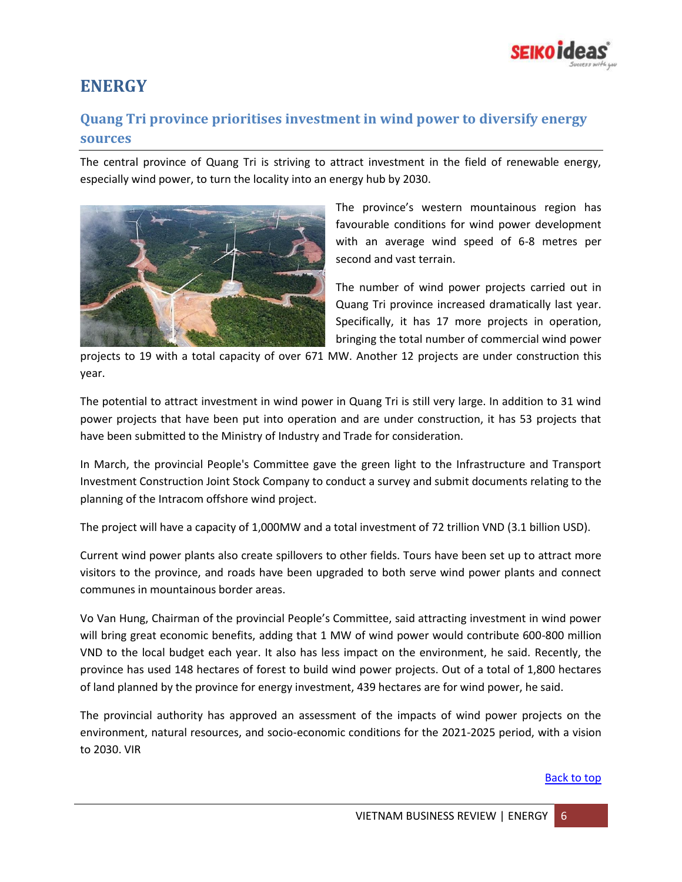

## <span id="page-5-0"></span>**ENERGY**

### <span id="page-5-1"></span>**Quang Tri province prioritises investment in wind power to diversify energy sources**

The central province of Quang Tri is striving to attract investment in the field of renewable energy, especially wind power, to turn the locality into an energy hub by 2030.



The province's western mountainous region has favourable conditions for wind power development with an average wind speed of 6-8 metres per second and vast terrain.

The number of wind power projects carried out in Quang Tri province increased dramatically last year. Specifically, it has 17 more projects in operation, bringing the total number of commercial wind power

projects to 19 with a total capacity of over 671 MW. Another 12 projects are under construction this year.

The potential to attract investment in wind power in Quang Tri is still very large. In addition to 31 wind power projects that have been put into operation and are under construction, it has 53 projects that have been submitted to the Ministry of Industry and Trade for consideration.

In March, the provincial People's Committee gave the green light to the Infrastructure and Transport Investment Construction Joint Stock Company to conduct a survey and submit documents relating to the planning of the Intracom offshore wind project.

The project will have a capacity of 1,000MW and a total investment of 72 trillion VND (3.1 billion USD).

Current wind power plants also create spillovers to other fields. Tours have been set up to attract more visitors to the province, and roads have been upgraded to both serve wind power plants and connect communes in mountainous border areas.

Vo Van Hung, Chairman of the provincial People's Committee, said attracting investment in wind power will bring great economic benefits, adding that 1 MW of wind power would contribute 600-800 million VND to the local budget each year. It also has less impact on the environment, he said. Recently, the province has used 148 hectares of forest to build wind power projects. Out of a total of 1,800 hectares of land planned by the province for energy investment, 439 hectares are for wind power, he said.

The provincial authority has approved an assessment of the impacts of wind power projects on the environment, natural resources, and socio-economic conditions for the 2021-2025 period, with a vision to 2030. VIR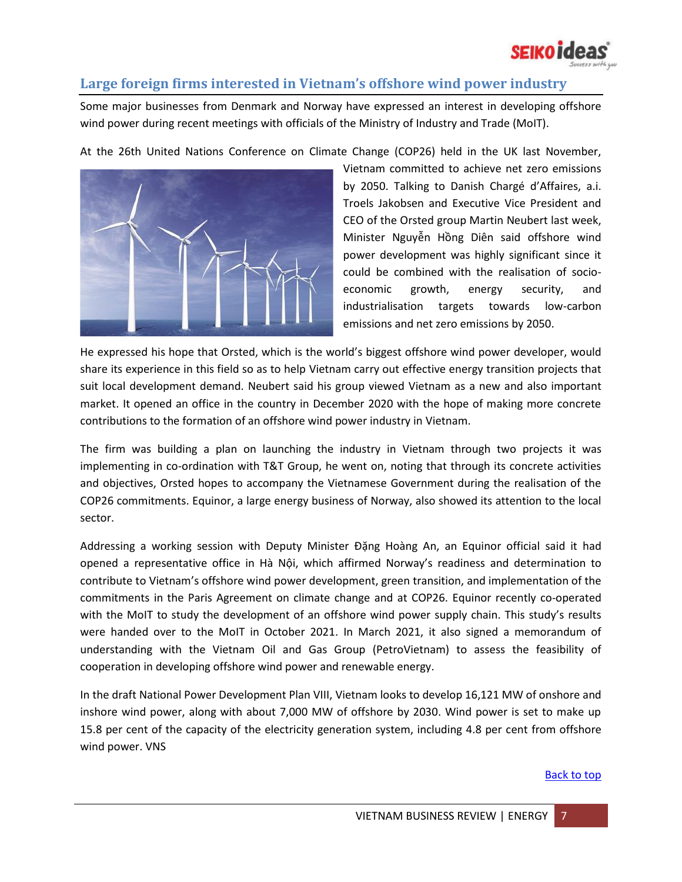

#### <span id="page-6-0"></span>**Large foreign firms interested in Vietnam's offshore wind power industry**

Some major businesses from Denmark and Norway have expressed an interest in developing offshore wind power during recent meetings with officials of the Ministry of Industry and Trade (MoIT).

At the 26th United Nations Conference on Climate Change (COP26) held in the UK last November,



Vietnam committed to achieve net zero emissions by 2050. Talking to Danish Chargé d'Affaires, a.i. Troels Jakobsen and Executive Vice President and CEO of the Orsted group Martin Neubert last week, Minister Nguyễn Hồng Diên said offshore wind power development was highly significant since it could be combined with the realisation of socioeconomic growth, energy security, and industrialisation targets towards low-carbon emissions and net zero emissions by 2050.

He expressed his hope that Orsted, which is the world's biggest offshore wind power developer, would share its experience in this field so as to help Vietnam carry out effective energy transition projects that suit local development demand. Neubert said his group viewed Vietnam as a new and also important market. It opened an office in the country in December 2020 with the hope of making more concrete contributions to the formation of an offshore wind power industry in Vietnam.

The firm was building a plan on launching the industry in Vietnam through two projects it was implementing in co-ordination with T&T Group, he went on, noting that through its concrete activities and objectives, Orsted hopes to accompany the Vietnamese Government during the realisation of the COP26 commitments. Equinor, a large energy business of Norway, also showed its attention to the local sector.

Addressing a working session with Deputy Minister Đặng Hoàng An, an Equinor official said it had opened a representative office in Hà Nội, which affirmed Norway's readiness and determination to contribute to Vietnam's offshore wind power development, green transition, and implementation of the commitments in the Paris Agreement on climate change and at COP26. Equinor recently co-operated with the MoIT to study the development of an offshore wind power supply chain. This study's results were handed over to the MoIT in October 2021. In March 2021, it also signed a memorandum of understanding with the Vietnam Oil and Gas Group (PetroVietnam) to assess the feasibility of cooperation in developing offshore wind power and renewable energy.

In the draft National Power Development Plan VIII, Vietnam looks to develop 16,121 MW of onshore and inshore wind power, along with about 7,000 MW of offshore by 2030. Wind power is set to make up 15.8 per cent of the capacity of the electricity generation system, including 4.8 per cent from offshore wind power. VNS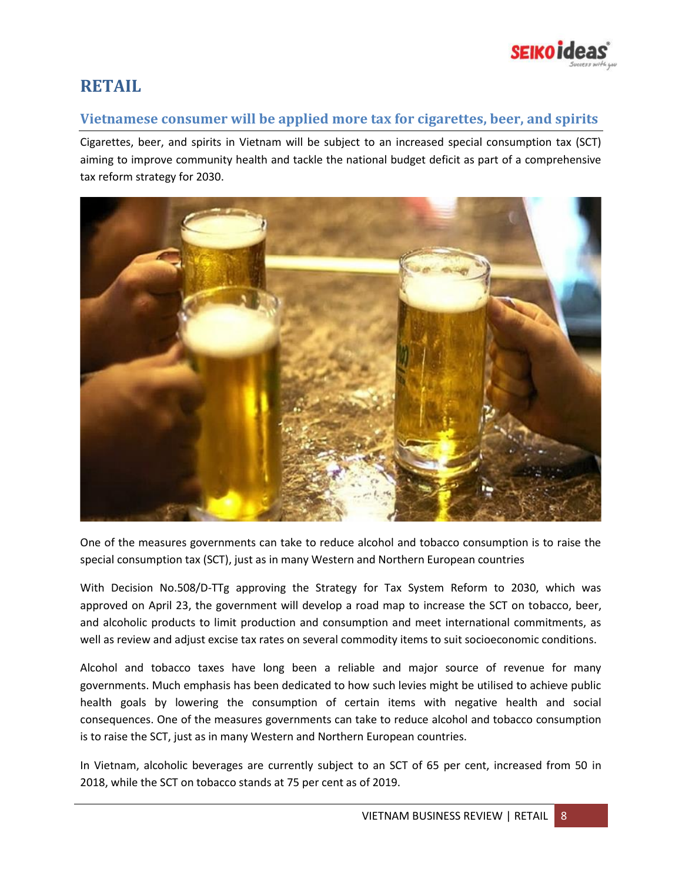

## <span id="page-7-0"></span>**RETAIL**

#### <span id="page-7-1"></span>**Vietnamese consumer will be applied more tax for cigarettes, beer, and spirits**

Cigarettes, beer, and spirits in Vietnam will be subject to an increased special consumption tax (SCT) aiming to improve community health and tackle the national budget deficit as part of a comprehensive tax reform strategy for 2030.



One of the measures governments can take to reduce alcohol and tobacco consumption is to raise the special consumption tax (SCT), just as in many Western and Northern European countries

With Decision No.508/D-TTg approving the Strategy for Tax System Reform to 2030, which was approved on April 23, the government will develop a road map to increase the SCT on tobacco, beer, and alcoholic products to limit production and consumption and meet international commitments, as well as review and adjust excise tax rates on several commodity items to suit socioeconomic conditions.

Alcohol and tobacco taxes have long been a reliable and major source of revenue for many governments. Much emphasis has been dedicated to how such levies might be utilised to achieve public health goals by lowering the consumption of certain items with negative health and social consequences. One of the measures governments can take to reduce alcohol and tobacco consumption is to raise the SCT, just as in many Western and Northern European countries.

In Vietnam, alcoholic beverages are currently subject to an SCT of 65 per cent, increased from 50 in 2018, while the SCT on tobacco stands at 75 per cent as of 2019.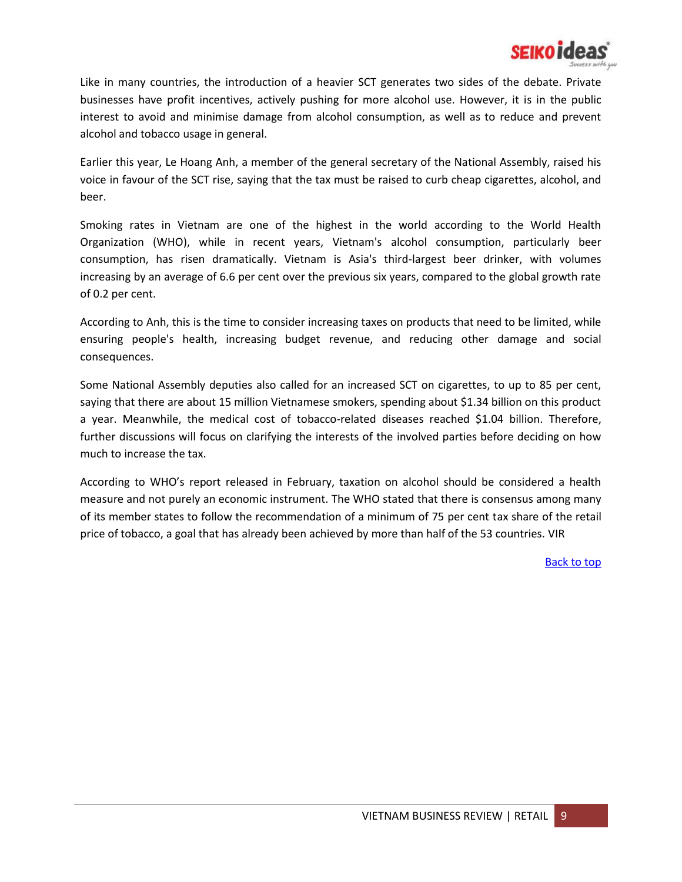

Like in many countries, the introduction of a heavier SCT generates two sides of the debate. Private businesses have profit incentives, actively pushing for more alcohol use. However, it is in the public interest to avoid and minimise damage from alcohol consumption, as well as to reduce and prevent alcohol and tobacco usage in general.

Earlier this year, Le Hoang Anh, a member of the general secretary of the National Assembly, raised his voice in favour of the SCT rise, saying that the tax must be raised to curb cheap cigarettes, alcohol, and beer.

Smoking rates in Vietnam are one of the highest in the world according to the World Health Organization (WHO), while in recent years, Vietnam's alcohol consumption, particularly beer consumption, has risen dramatically. Vietnam is Asia's third-largest beer drinker, with volumes increasing by an average of 6.6 per cent over the previous six years, compared to the global growth rate of 0.2 per cent.

According to Anh, this is the time to consider increasing taxes on products that need to be limited, while ensuring people's health, increasing budget revenue, and reducing other damage and social consequences.

Some National Assembly deputies also called for an increased SCT on cigarettes, to up to 85 per cent, saying that there are about 15 million Vietnamese smokers, spending about \$1.34 billion on this product a year. Meanwhile, the medical cost of tobacco-related diseases reached \$1.04 billion. Therefore, further discussions will focus on clarifying the interests of the involved parties before deciding on how much to increase the tax.

According to WHO's report released in February, taxation on alcohol should be considered a health measure and not purely an economic instrument. The WHO stated that there is consensus among many of its member states to follow the recommendation of a minimum of 75 per cent tax share of the retail price of tobacco, a goal that has already been achieved by more than half of the 53 countries. VIR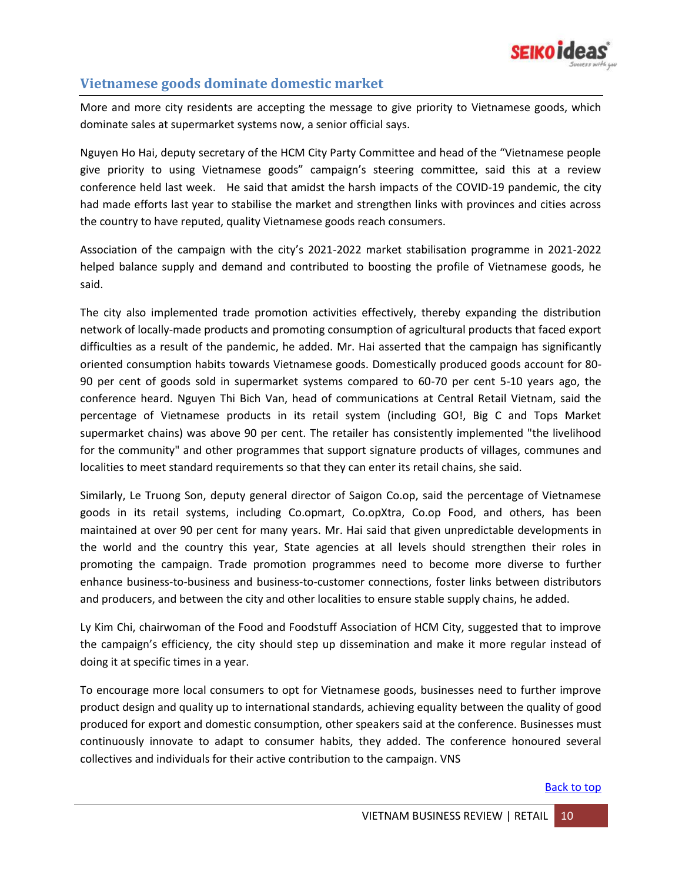

#### <span id="page-9-0"></span>**Vietnamese goods dominate domestic market**

More and more city residents are accepting the message to give priority to Vietnamese goods, which dominate sales at supermarket systems now, a senior official says.

Nguyen Ho Hai, deputy secretary of the HCM City Party Committee and head of the "Vietnamese people give priority to using Vietnamese goods" campaign's steering committee, said this at a review conference held last week. He said that amidst the harsh impacts of the COVID-19 pandemic, the city had made efforts last year to stabilise the market and strengthen links with provinces and cities across the country to have reputed, quality Vietnamese goods reach consumers.

Association of the campaign with the city's 2021-2022 market stabilisation programme in 2021-2022 helped balance supply and demand and contributed to boosting the profile of Vietnamese goods, he said.

The city also implemented trade promotion activities effectively, thereby expanding the distribution network of locally-made products and promoting consumption of agricultural products that faced export difficulties as a result of the pandemic, he added. Mr. Hai asserted that the campaign has significantly oriented consumption habits towards Vietnamese goods. Domestically produced goods account for 80- 90 per cent of goods sold in supermarket systems compared to 60-70 per cent 5-10 years ago, the conference heard. Nguyen Thi Bich Van, head of communications at Central Retail Vietnam, said the percentage of Vietnamese products in its retail system (including GO!, Big C and Tops Market supermarket chains) was above 90 per cent. The retailer has consistently implemented "the livelihood for the community" and other programmes that support signature products of villages, communes and localities to meet standard requirements so that they can enter its retail chains, she said.

Similarly, Le Truong Son, deputy general director of Saigon Co.op, said the percentage of Vietnamese goods in its retail systems, including Co.opmart, Co.opXtra, Co.op Food, and others, has been maintained at over 90 per cent for many years. Mr. Hai said that given unpredictable developments in the world and the country this year, State agencies at all levels should strengthen their roles in promoting the campaign. Trade promotion programmes need to become more diverse to further enhance business-to-business and business-to-customer connections, foster links between distributors and producers, and between the city and other localities to ensure stable supply chains, he added.

Ly Kim Chi, chairwoman of the Food and Foodstuff Association of HCM City, suggested that to improve the campaign's efficiency, the city should step up dissemination and make it more regular instead of doing it at specific times in a year.

To encourage more local consumers to opt for Vietnamese goods, businesses need to further improve product design and quality up to international standards, achieving equality between the quality of good produced for export and domestic consumption, other speakers said at the conference. Businesses must continuously innovate to adapt to consumer habits, they added. The conference honoured several collectives and individuals for their active contribution to the campaign. VNS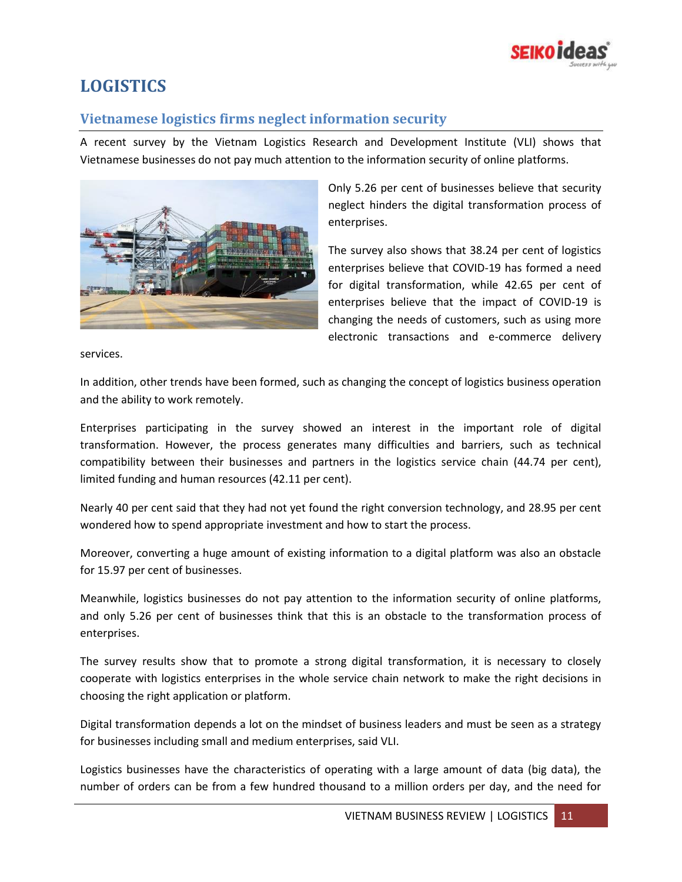

## <span id="page-10-0"></span>**LOGISTICS**

#### <span id="page-10-1"></span>**Vietnamese logistics firms neglect information security**

A recent survey by the Vietnam Logistics Research and Development Institute (VLI) shows that Vietnamese businesses do not pay much attention to the information security of online platforms.



Only 5.26 per cent of businesses believe that security neglect hinders the digital transformation process of enterprises.

The survey also shows that 38.24 per cent of logistics enterprises believe that COVID-19 has formed a need for digital transformation, while 42.65 per cent of enterprises believe that the impact of COVID-19 is changing the needs of customers, such as using more electronic transactions and e-commerce delivery

services.

In addition, other trends have been formed, such as changing the concept of logistics business operation and the ability to work remotely.

Enterprises participating in the survey showed an interest in the important role of digital transformation. However, the process generates many difficulties and barriers, such as technical compatibility between their businesses and partners in the logistics service chain (44.74 per cent), limited funding and human resources (42.11 per cent).

Nearly 40 per cent said that they had not yet found the right conversion technology, and 28.95 per cent wondered how to spend appropriate investment and how to start the process.

Moreover, converting a huge amount of existing information to a digital platform was also an obstacle for 15.97 per cent of businesses.

Meanwhile, logistics businesses do not pay attention to the information security of online platforms, and only 5.26 per cent of businesses think that this is an obstacle to the transformation process of enterprises.

The survey results show that to promote a strong digital transformation, it is necessary to closely cooperate with logistics enterprises in the whole service chain network to make the right decisions in choosing the right application or platform.

Digital transformation depends a lot on the mindset of business leaders and must be seen as a strategy for businesses including small and medium enterprises, said VLI.

Logistics businesses have the characteristics of operating with a large amount of data (big data), the number of orders can be from a few hundred thousand to a million orders per day, and the need for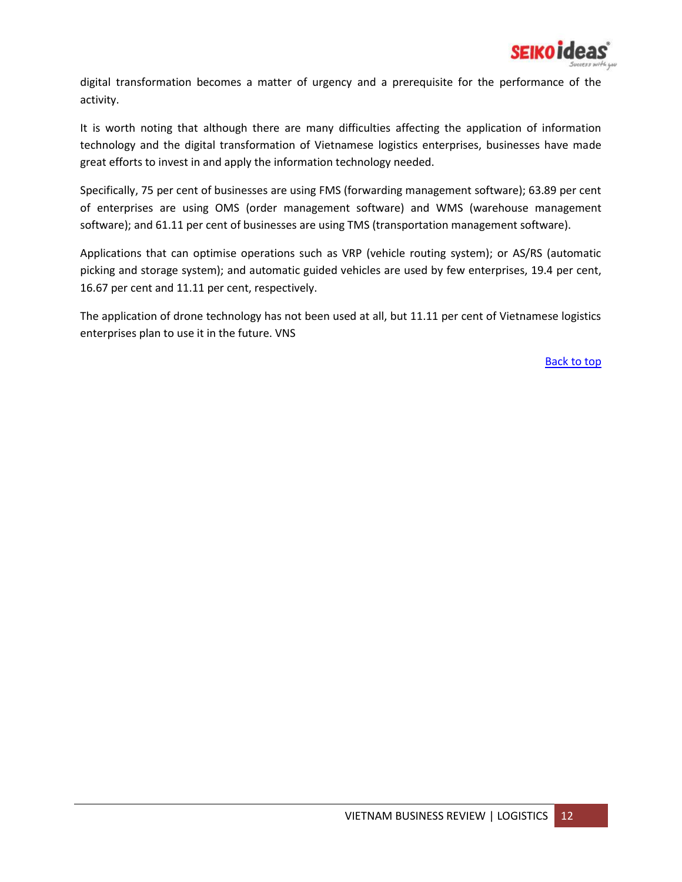

digital transformation becomes a matter of urgency and a prerequisite for the performance of the activity.

It is worth noting that although there are many difficulties affecting the application of information technology and the digital transformation of Vietnamese logistics enterprises, businesses have made great efforts to invest in and apply the information technology needed.

Specifically, 75 per cent of businesses are using FMS (forwarding management software); 63.89 per cent of enterprises are using OMS (order management software) and WMS (warehouse management software); and 61.11 per cent of businesses are using TMS (transportation management software).

Applications that can optimise operations such as VRP (vehicle routing system); or AS/RS (automatic picking and storage system); and automatic guided vehicles are used by few enterprises, 19.4 per cent, 16.67 per cent and 11.11 per cent, respectively.

The application of drone technology has not been used at all, but 11.11 per cent of Vietnamese logistics enterprises plan to use it in the future. VNS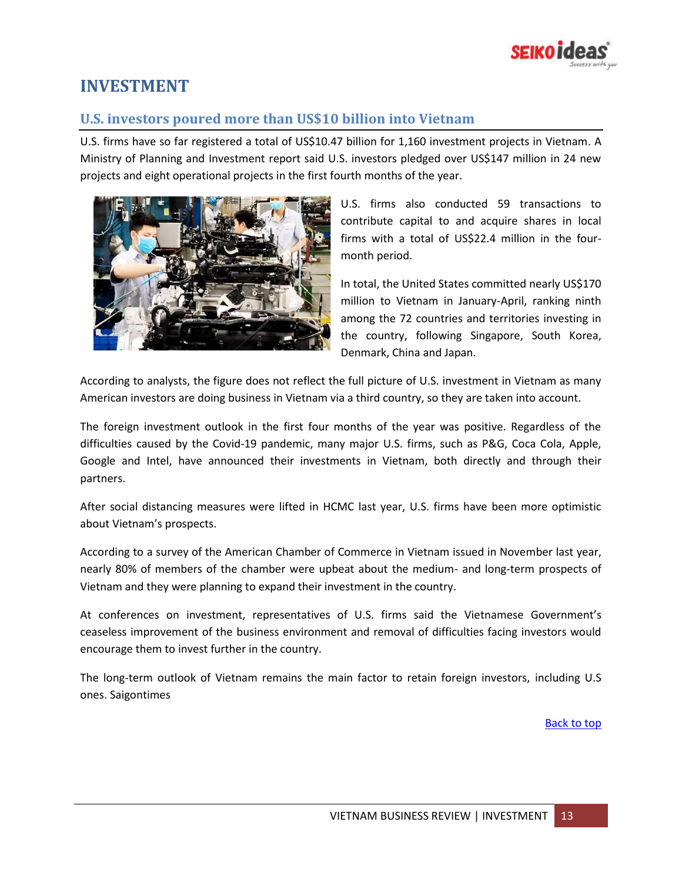

## <span id="page-12-0"></span>**INVESTMENT**

#### <span id="page-12-1"></span>**U.S. investors poured more than US\$10 billion into Vietnam**

U.S. firms have so far registered a total of US\$10.47 billion for 1,160 investment projects in Vietnam. A Ministry of Planning and Investment report said U.S. investors pledged over US\$147 million in 24 new projects and eight operational projects in the first fourth months of the year.



U.S. firms also conducted 59 transactions to contribute capital to and acquire shares in local firms with a total of US\$22.4 million in the fourmonth period.

In total, the United States committed nearly US\$170 million to Vietnam in January-April, ranking ninth among the 72 countries and territories investing in the country, following Singapore, South Korea, Denmark, China and Japan.

According to analysts, the figure does not reflect the full picture of U.S. investment in Vietnam as many American investors are doing business in Vietnam via a third country, so they are taken into account.

The foreign investment outlook in the first four months of the year was positive. Regardless of the difficulties caused by the Covid-19 pandemic, many major U.S. firms, such as P&G, Coca Cola, Apple, Google and Intel, have announced their investments in Vietnam, both directly and through their partners.

After social distancing measures were lifted in HCMC last year, U.S. firms have been more optimistic about Vietnam's prospects.

According to a survey of the American Chamber of Commerce in Vietnam issued in November last year, nearly 80% of members of the chamber were upbeat about the medium- and long-term prospects of Vietnam and they were planning to expand their investment in the country.

At conferences on investment, representatives of U.S. firms said the Vietnamese Government's ceaseless improvement of the business environment and removal of difficulties facing investors would encourage them to invest further in the country.

The long-term outlook of Vietnam remains the main factor to retain foreign investors, including U.S ones. Saigontimes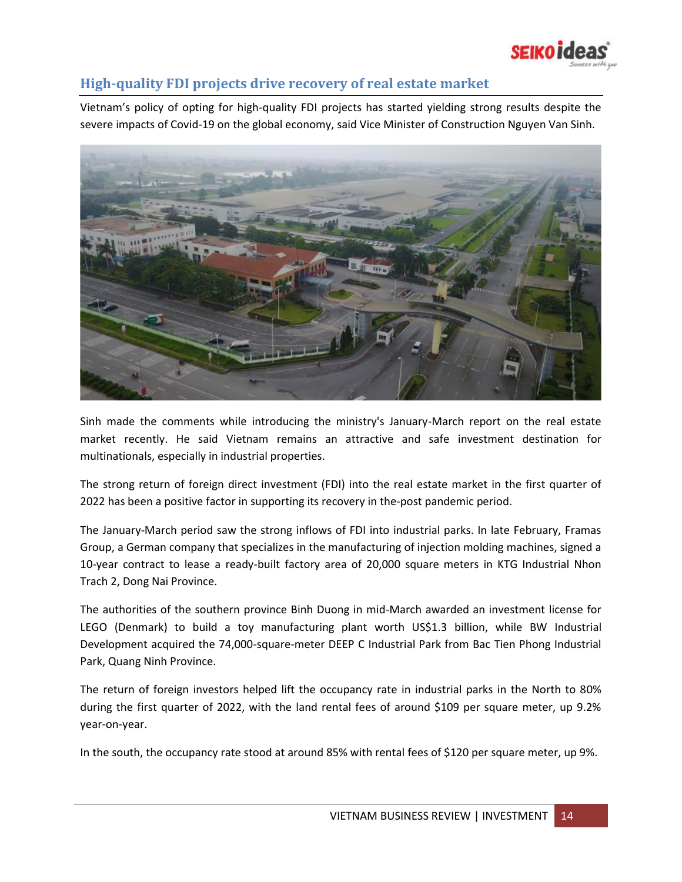

#### <span id="page-13-0"></span>**High-quality FDI projects drive recovery of real estate market**

Vietnam's policy of opting for high-quality FDI projects has started yielding strong results despite the severe impacts of Covid-19 on the global economy, said Vice Minister of Construction Nguyen Van Sinh.



Sinh made the comments while introducing the ministry's January-March report on the real estate market recently. He said Vietnam remains an attractive and safe investment destination for multinationals, especially in industrial properties.

The strong return of foreign direct investment (FDI) into the real estate market in the first quarter of 2022 has been a positive factor in supporting its recovery in the-post pandemic period.

The January-March period saw the strong inflows of FDI into industrial parks. In late February, Framas Group, a German company that specializes in the manufacturing of injection molding machines, signed a 10-year contract to lease a ready-built factory area of 20,000 square meters in KTG Industrial Nhon Trach 2, Dong Nai Province.

The authorities of the southern province Binh Duong in mid-March awarded an investment license for LEGO (Denmark) to build a toy manufacturing plant worth US\$1.3 billion, while BW Industrial Development acquired the 74,000-square-meter DEEP C Industrial Park from Bac Tien Phong Industrial Park, Quang Ninh Province.

The return of foreign investors helped lift the occupancy rate in industrial parks in the North to 80% during the first quarter of 2022, with the land rental fees of around \$109 per square meter, up 9.2% year-on-year.

In the south, the occupancy rate stood at around 85% with rental fees of \$120 per square meter, up 9%.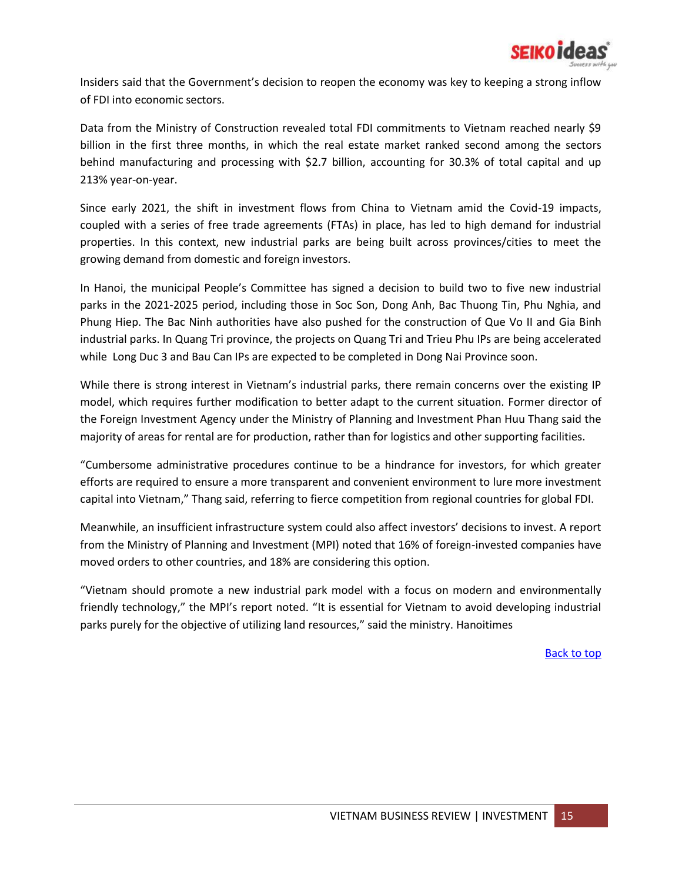

Insiders said that the Government's decision to reopen the economy was key to keeping a strong inflow of FDI into economic sectors.

Data from the Ministry of Construction revealed total FDI commitments to Vietnam reached nearly \$9 billion in the first three months, in which the real estate market ranked second among the sectors behind manufacturing and processing with \$2.7 billion, accounting for 30.3% of total capital and up 213% year-on-year.

Since early 2021, the shift in investment flows from China to Vietnam amid the Covid-19 impacts, coupled with a series of free trade agreements (FTAs) in place, has led to high demand for industrial properties. In this context, new industrial parks are being built across provinces/cities to meet the growing demand from domestic and foreign investors.

In Hanoi, the municipal People's Committee has signed a decision to build two to five new industrial parks in the 2021-2025 period, including those in Soc Son, Dong Anh, Bac Thuong Tin, Phu Nghia, and Phung Hiep. The Bac Ninh authorities have also pushed for the construction of Que Vo II and Gia Binh industrial parks. In Quang Tri province, the projects on Quang Tri and Trieu Phu IPs are being accelerated while Long Duc 3 and Bau Can IPs are expected to be completed in Dong Nai Province soon.

While there is strong interest in Vietnam's industrial parks, there remain concerns over the existing IP model, which requires further modification to better adapt to the current situation. Former director of the Foreign Investment Agency under the Ministry of Planning and Investment Phan Huu Thang said the majority of areas for rental are for production, rather than for logistics and other supporting facilities.

"Cumbersome administrative procedures continue to be a hindrance for investors, for which greater efforts are required to ensure a more transparent and convenient environment to lure more investment capital into Vietnam," Thang said, referring to fierce competition from regional countries for global FDI.

Meanwhile, an insufficient infrastructure system could also affect investors' decisions to invest. A report from the Ministry of Planning and Investment (MPI) noted that 16% of foreign-invested companies have moved orders to other countries, and 18% are considering this option.

"Vietnam should promote a new industrial park model with a focus on modern and environmentally friendly technology," the MPI's report noted. "It is essential for Vietnam to avoid developing industrial parks purely for the objective of utilizing land resources," said the ministry. Hanoitimes